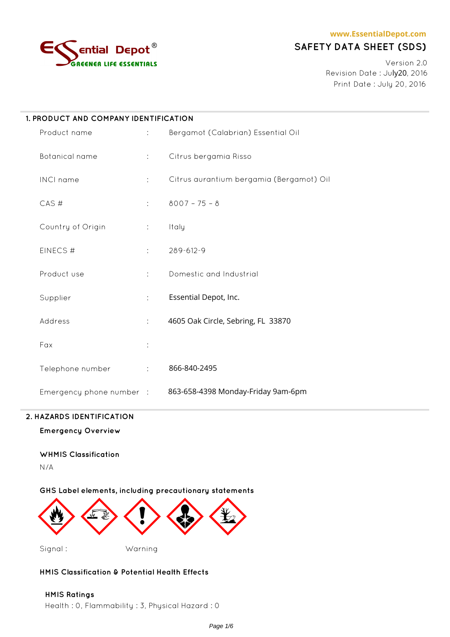

# **SAFETY DATA SHEET (SDS)**

Version 2.0 Revision Date : July20, 2016 Print Date : July 20, 2016

| 1. PRODUCT AND COMPANY IDENTIFICATION |                              |                                                             |  |  |
|---------------------------------------|------------------------------|-------------------------------------------------------------|--|--|
| Product name                          | $\mathcal{L}^{\text{max}}$ . | Bergamot (Calabrian) Essential Oil                          |  |  |
| Botanical name                        | $\mathcal{I}^{\text{max}}$   | Citrus bergamia Risso                                       |  |  |
| INCI name                             | $\mathbb{R}^2$               | Citrus aurantium bergamia (Bergamot) Oil                    |  |  |
| CAS#                                  | $1 - 1$                      | $8007 - 75 - 8$                                             |  |  |
| Country of Origin                     | $\mathcal{I}^{\text{max}}$   | Italy                                                       |  |  |
| EINECS#                               | $\mathcal{L}^{\text{max}}$   | 289-612-9                                                   |  |  |
| Product use                           | $\mathbb{R}^{n}$             | Domestic and Industrial                                     |  |  |
| Supplier                              | $\ddot{\phantom{a}}$         | Essential Depot, Inc.                                       |  |  |
| Address                               | $\mathbb{C}^{\times}$        | 4605 Oak Circle, Sebring, FL 33870                          |  |  |
| Fax                                   | ÷                            |                                                             |  |  |
| Telephone number                      | $\Delta \sim 100$            | 866-840-2495                                                |  |  |
|                                       |                              | Emergency phone number : 863-658-4398 Monday-Friday 9am-6pm |  |  |

### **2. HAZARDS IDENTIFICATION**

**Emergency Overview**

# **WHMIS Classification**

N/A

**GHS Label elements, including precautionary statements**



### **HMIS Classification & Potential Health Effects**

**HMIS Ratings** Health : 0, Flammability : 3, Physical Hazard : 0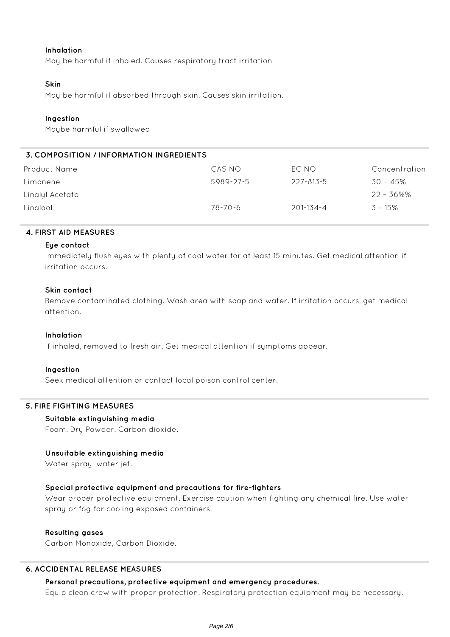#### **Inhalation**

May be harmful if inhaled. Causes respiratory tract irritation

#### **Skin**

May be harmful if absorbed through skin. Causes skin irritation.

### **Ingestion**

Maybe harmful if swallowed

# **3. COMPOSITION / INFORMATION INGREDIENTS**

| Product Name    | CAS NO    | EC NO     | Concentration |
|-----------------|-----------|-----------|---------------|
| Limonene        | 5989-27-5 | 227-813-5 | 30 - 45%      |
| Linalyl Acetate |           |           | $22 - 36\%$ % |
| Linglool        | 78-70-6   | 201-134-4 | $3 - 15\%$    |

#### **4. FIRST AID MEASURES**

#### **Eye contact**

Immediately flush eyes with plenty of cool water for at least 15 minutes. Get medical attention if irritation occurs.

#### **Skin contact**

Remove contaminated clothing. Wash area with soap and water. If irritation occurs, get medical attention.

#### **Inhalation**

If inhaled, removed to fresh air. Get medical attention if symptoms appear.

#### **Ingestion**

Seek medical attention or contact local poison control center.

### **5. FIRE FIGHTING MEASURES**

#### **Suitable extinguishing media**

Foam. Dry Powder. Carbon dioxide.

#### **Unsuitable extinguishing media**

Water spray, water jet.

### **Special protective equipment and precautions for fire-fighters**

Wear proper protective equipment. Exercise caution when fighting any chemical fire. Use water spray or fog for cooling exposed containers.

#### **Resulting gases**

Carbon Monoxide, Carbon Dioxide.

### **6. ACCIDENTAL RELEASE MEASURES**

#### **Personal precautions, protective equipment and emergency procedures.**

Equip clean crew with proper protection. Respiratory protection equipment may be necessary.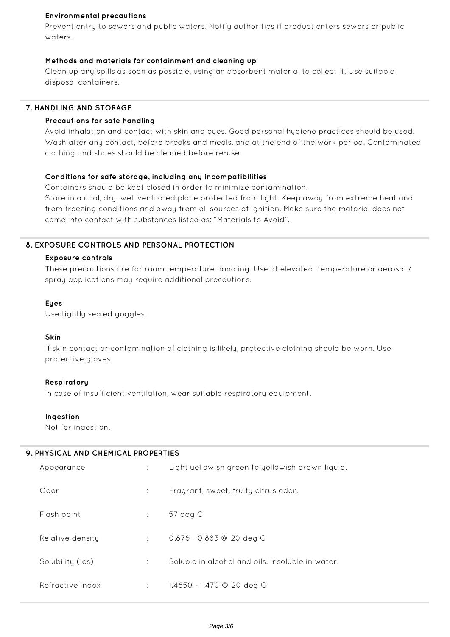## **Environmental precautions**

Prevent entry to sewers and public waters. Notify authorities if product enters sewers or public waters.

# **Methods and materials for containment and cleaning up**

Clean up any spills as soon as possible, using an absorbent material to collect it. Use suitable disposal containers.

# **7. HANDLING AND STORAGE**

## **Precautions for safe handling**

Avoid inhalation and contact with skin and eyes. Good personal hygiene practices should be used. Wash after any contact, before breaks and meals, and at the end of the work period. Contaminated clothing and shoes should be cleaned before re-use.

# **Conditions for safe storage, including any incompatibilities**

Containers should be kept closed in order to minimize contamination.

Store in a cool, dry, well ventilated place protected from light. Keep away from extreme heat and from freezing conditions and away from all sources of ignition. Make sure the material does not come into contact with substances listed as: "Materials to Avoid".

# **8. EXPOSURE CONTROLS AND PERSONAL PROTECTION**

### **Exposure controls**

These precautions are for room temperature handling. Use at elevated temperature or aerosol / spray applications may require additional precautions.

### **Eyes**

Use tightly sealed goggles.

### **Skin**

If skin contact or contamination of clothing is likely, protective clothing should be worn. Use protective gloves.

### **Respiratory**

In case of insufficient ventilation, wear suitable respiratory equipment.

### **Ingestion**

Not for ingestion.

## **9. PHYSICAL AND CHEMICAL PROPERTIES**

| Appearance       |                | Light yellowish green to yellowish brown liquid. |
|------------------|----------------|--------------------------------------------------|
| Odor             | $\mathbb{R}^n$ | Fragrant, sweet, fruity citrus odor.             |
| Flash point      |                | $57$ deg $C$                                     |
| Relative density | $1 - 1$        | $0.876 - 0.883$ @ 20 deg C                       |
| Solubility (ies) |                | Soluble in alcohol and oils. Insoluble in water, |
| Refractive index |                | 1.4650 - 1.470 @ 20 deg C                        |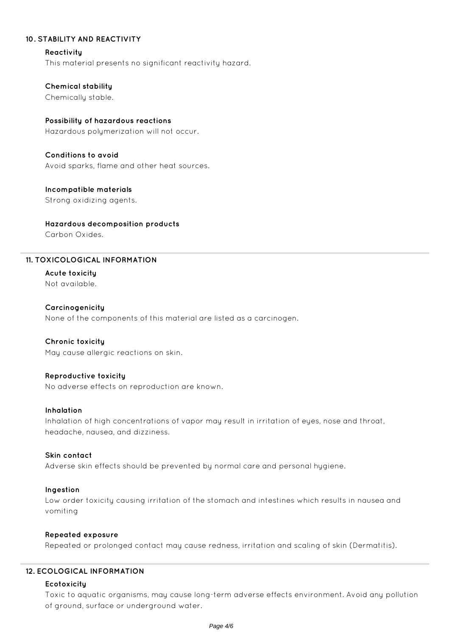## **10. STABILITY AND REACTIVITY**

#### **Reactivity**

This material presents no significant reactivity hazard.

### **Chemical stability**

Chemically stable.

# **Possibility of hazardous reactions**

Hazardous polymerization will not occur.

# **Conditions to avoid**

Avoid sparks, flame and other heat sources.

# **Incompatible materials**

Strong oxidizing agents.

# **Hazardous decomposition products**

Carbon Oxides.

# **11. TOXICOLOGICAL INFORMATION**

**Acute toxicity** Not available.

### **Carcinogenicity**

None of the components of this material are listed as a carcinogen.

### **Chronic toxicity**

May cause allergic reactions on skin.

### **Reproductive toxicity**

No adverse effects on reproduction are known.

### **Inhalation**

Inhalation of high concentrations of vapor may result in irritation of eyes, nose and throat, headache, nausea, and dizziness.

### **Skin contact**

Adverse skin effects should be prevented by normal care and personal hygiene.

### **Ingestion**

Low order toxicity causing irritation of the stomach and intestines which results in nausea and vomiting

### **Repeated exposure**

Repeated or prolonged contact may cause redness, irritation and scaling of skin (Dermatitis).

### **12. ECOLOGICAL INFORMATION**

### **Ecotoxicity**

Toxic to aquatic organisms, may cause long-term adverse effects environment. Avoid any pollution of ground, surface or underground water.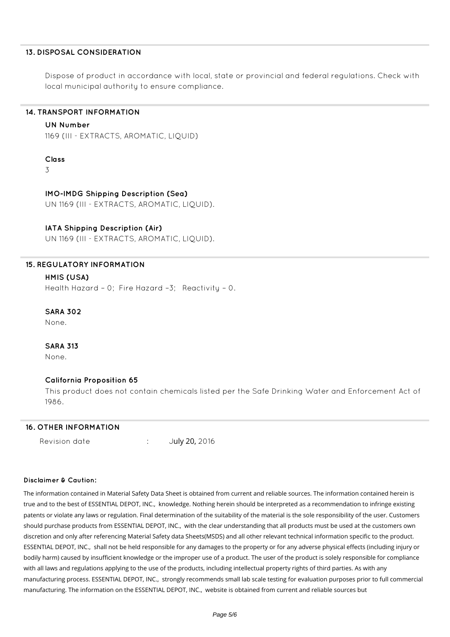#### **13. DISPOSAL CONSIDERATION**

Dispose of product in accordance with local, state or provincial and federal regulations. Check with local municipal authority to ensure compliance.

## **14. TRANSPORT INFORMATION**

#### **UN Number**

1169 (III - EXTRACTS, AROMATIC, LIQUID)

#### **Class**

3

### **IMO-IMDG Shipping Description (Sea)**

UN 1169 (III - EXTRACTS, AROMATIC, LIQUID).

#### **IATA Shipping Description (Air)**

UN 1169 (III - EXTRACTS, AROMATIC, LIQUID).

# **15. REGULATORY INFORMATION**

# **HMIS (USA)**

Health Hazard – 0; Fire Hazard –3; Reactivity – 0.

#### **SARA 302**

None.

# **SARA 313**

None.

### **California Proposition 65**

This product does not contain chemicals listed per the Safe Drinking Water and Enforcement Act of 1986.

#### **16. OTHER INFORMATION**

Revision date : July 20, 2016

#### **Disclaimer & Caution:**

The information contained in Material Safety Data Sheet is obtained from current and reliable sources. The information contained herein is true and to the best of ESSENTIAL DEPOT, INC., knowledge. Nothing herein should be interpreted as a recommendation to infringe existing patents or violate any laws or regulation. Final determination of the suitability of the material is the sole responsibility of the user. Customers should purchase products from ESSENTIAL DEPOT, INC., with the clear understanding that all products must be used at the customers own discretion and only after referencing Material Safety data Sheets(MSDS) and all other relevant technical information specific to the product. ESSENTIAL DEPOT, INC., shall not be held responsible for any damages to the property or for any adverse physical effects (including injury or bodily harm) caused by insufficient knowledge or the improper use of a product. The user of the product is solely responsible for compliance with all laws and regulations applying to the use of the products, including intellectual property rights of third parties. As with any manufacturing process. ESSENTIAL DEPOT, INC., strongly recommends small lab scale testing for evaluation purposes prior to full commercial manufacturing. The information on the ESSENTIAL DEPOT, INC., website is obtained from current and reliable sources but